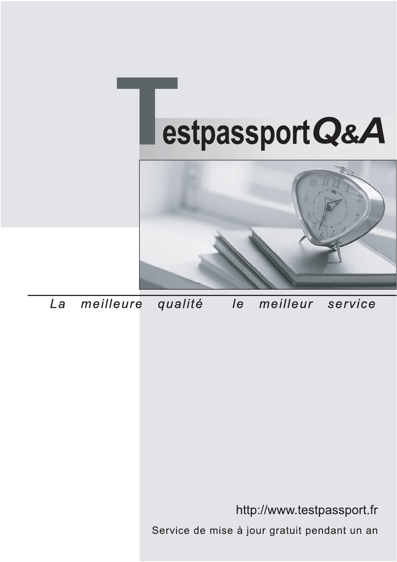



meilleure La qualité  $\overline{e}$ meilleur service

http://www.testpassport.fr

Service de mise à jour gratuit pendant un an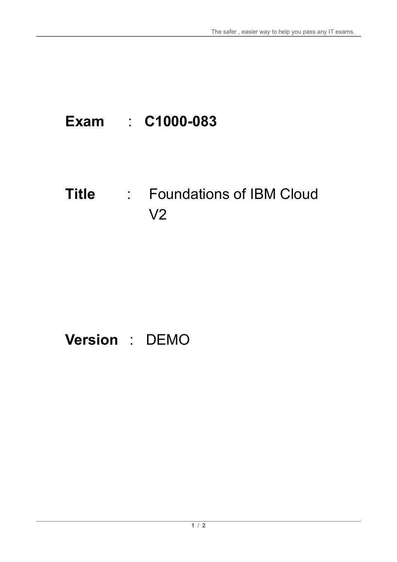# **Exam** : **C1000-083**

# **Title** : Foundations of IBM Cloud V2

# **Version** : DEMO